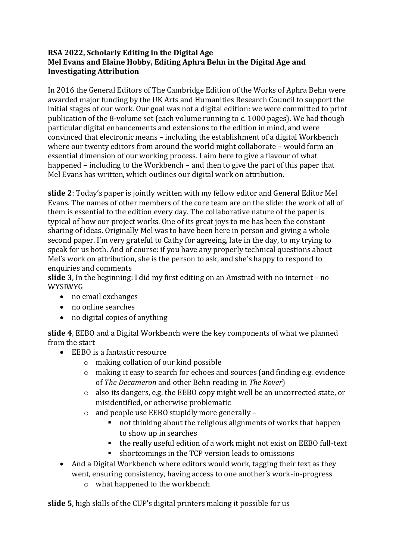## **RSA 2022, Scholarly Editing in the Digital Age Mel Evans and Elaine Hobby, Editing Aphra Behn in the Digital Age and Investigating Attribution**

In 2016 the General Editors of The Cambridge Edition of the Works of Aphra Behn were awarded major funding by the UK Arts and Humanities Research Council to support the initial stages of our work. Our goal was not a digital edition: we were committed to print publication of the 8-volume set (each volume running to c. 1000 pages). We had though particular digital enhancements and extensions to the edition in mind, and were convinced that electronic means – including the establishment of a digital Workbench where our twenty editors from around the world might collaborate – would form an essential dimension of our working process. I aim here to give a flavour of what happened – including to the Workbench – and then to give the part of this paper that Mel Evans has written, which outlines our digital work on attribution.

**slide 2**: Today's paper is jointly written with my fellow editor and General Editor Mel Evans. The names of other members of the core team are on the slide: the work of all of them is essential to the edition every day. The collaborative nature of the paper is typical of how our project works. One of its great joys to me has been the constant sharing of ideas. Originally Mel was to have been here in person and giving a whole second paper. I'm very grateful to Cathy for agreeing, late in the day, to my trying to speak for us both. And of course: if you have any properly technical questions about Mel's work on attribution, she is the person to ask, and she's happy to respond to enquiries and comments

**slide 3**, In the beginning: I did my first editing on an Amstrad with no internet – no WYSIWYG

- no email exchanges
- no online searches
- no digital copies of anything

**slide 4**, EEBO and a Digital Workbench were the key components of what we planned from the start

- EEBO is a fantastic resource
	- o making collation of our kind possible
	- o making it easy to search for echoes and sources (and finding e.g. evidence of *The Decameron* and other Behn reading in *The Rover*)
	- o also its dangers, e.g. the EEBO copy might well be an uncorrected state, or misidentified, or otherwise problematic
	- o and people use EEBO stupidly more generally
		- not thinking about the religious alignments of works that happen to show up in searches
		- the really useful edition of a work might not exist on EEBO full-text
		- shortcomings in the TCP version leads to omissions
- And a Digital Workbench where editors would work, tagging their text as they went, ensuring consistency, having access to one another's work-in-progress
	- o what happened to the workbench

**slide 5**, high skills of the CUP's digital printers making it possible for us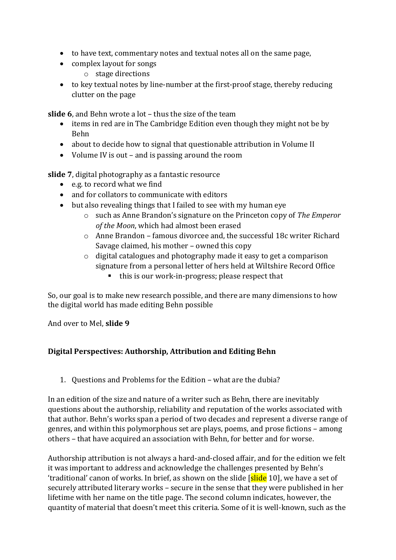- to have text, commentary notes and textual notes all on the same page,
- complex layout for songs
	- o stage directions
- to key textual notes by line-number at the first-proof stage, thereby reducing clutter on the page

**slide 6**, and Behn wrote a lot – thus the size of the team

- items in red are in The Cambridge Edition even though they might not be by Behn
- about to decide how to signal that questionable attribution in Volume II
- Volume IV is out and is passing around the room

**slide 7**, digital photography as a fantastic resource

- e.g. to record what we find
- and for collators to communicate with editors
- but also revealing things that I failed to see with my human eye
	- o such as Anne Brandon's signature on the Princeton copy of *The Emperor of the Moon*, which had almost been erased
	- o Anne Brandon famous divorcee and, the successful 18c writer Richard Savage claimed, his mother – owned this copy
	- o digital catalogues and photography made it easy to get a comparison signature from a personal letter of hers held at Wiltshire Record Office
		- this is our work-in-progress; please respect that

So, our goal is to make new research possible, and there are many dimensions to how the digital world has made editing Behn possible

And over to Mel, **slide 9**

## **Digital Perspectives: Authorship, Attribution and Editing Behn**

1. Questions and Problems for the Edition – what are the dubia?

In an edition of the size and nature of a writer such as Behn, there are inevitably questions about the authorship, reliability and reputation of the works associated with that author. Behn's works span a period of two decades and represent a diverse range of genres, and within this polymorphous set are plays, poems, and prose fictions – among others – that have acquired an association with Behn, for better and for worse.

Authorship attribution is not always a hard-and-closed affair, and for the edition we felt it was important to address and acknowledge the challenges presented by Behn's 'traditional' canon of works. In brief, as shown on the slide [slide 10], we have a set of securely attributed literary works – secure in the sense that they were published in her lifetime with her name on the title page. The second column indicates, however, the quantity of material that doesn't meet this criteria. Some of it is well-known, such as the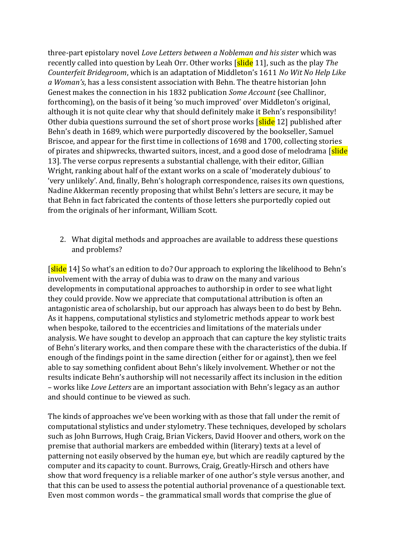three-part epistolary novel *Love Letters between a Nobleman and his sister* which was recently called into question by Leah Orr. Other works [slide 11], such as the play *The Counterfeit Bridegroom*, which is an adaptation of Middleton's 1611 *No Wit No Help Like a Woman's*, has a less consistent association with Behn. The theatre historian John Genest makes the connection in his 1832 publication *Some Account* (see Challinor, forthcoming), on the basis of it being 'so much improved' over Middleton's original, although it is not quite clear why that should definitely make it Behn's responsibility! Other dubia questions surround the set of short prose works [slide 12] published after Behn's death in 1689, which were purportedly discovered by the bookseller, Samuel Briscoe, and appear for the first time in collections of 1698 and 1700, collecting stories of pirates and shipwrecks, thwarted suitors, incest, and a good dose of melodrama [slide] 13]. The verse corpus represents a substantial challenge, with their editor, Gillian Wright, ranking about half of the extant works on a scale of 'moderately dubious' to 'very unlikely'. And, finally, Behn's holograph correspondence, raises its own questions, Nadine Akkerman recently proposing that whilst Behn's letters are secure, it may be that Behn in fact fabricated the contents of those letters she purportedly copied out from the originals of her informant, William Scott.

2. What digital methods and approaches are available to address these questions and problems?

[slide 14] So what's an edition to do? Our approach to exploring the likelihood to Behn's involvement with the array of dubia was to draw on the many and various developments in computational approaches to authorship in order to see what light they could provide. Now we appreciate that computational attribution is often an antagonistic area of scholarship, but our approach has always been to do best by Behn. As it happens, computational stylistics and stylometric methods appear to work best when bespoke, tailored to the eccentricies and limitations of the materials under analysis. We have sought to develop an approach that can capture the key stylistic traits of Behn's literary works, and then compare these with the characteristics of the dubia. If enough of the findings point in the same direction (either for or against), then we feel able to say something confident about Behn's likely involvement. Whether or not the results indicate Behn's authorship will not necessarily affect its inclusion in the edition – works like *Love Letters* are an important association with Behn's legacy as an author and should continue to be viewed as such.

The kinds of approaches we've been working with as those that fall under the remit of computational stylistics and under stylometry. These techniques, developed by scholars such as John Burrows, Hugh Craig, Brian Vickers, David Hoover and others, work on the premise that authorial markers are embedded within (literary) texts at a level of patterning not easily observed by the human eye, but which are readily captured by the computer and its capacity to count. Burrows, Craig, Greatly-Hirsch and others have show that word frequency is a reliable marker of one author's style versus another, and that this can be used to assess the potential authorial provenance of a questionable text. Even most common words – the grammatical small words that comprise the glue of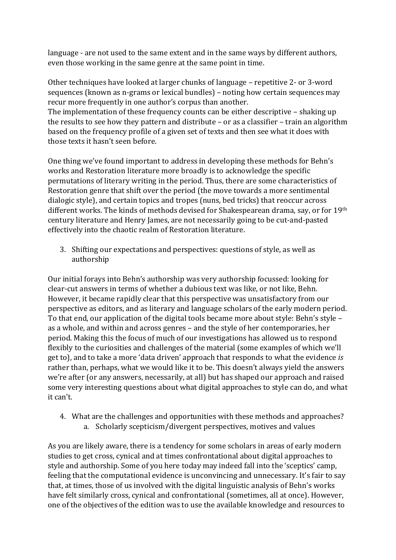language - are not used to the same extent and in the same ways by different authors, even those working in the same genre at the same point in time.

Other techniques have looked at larger chunks of language – repetitive 2- or 3-word sequences (known as n-grams or lexical bundles) – noting how certain sequences may recur more frequently in one author's corpus than another. The implementation of these frequency counts can be either descriptive – shaking up the results to see how they pattern and distribute – or as a classifier – train an algorithm based on the frequency profile of a given set of texts and then see what it does with those texts it hasn't seen before.

One thing we've found important to address in developing these methods for Behn's works and Restoration literature more broadly is to acknowledge the specific permutations of literary writing in the period. Thus, there are some characteristics of Restoration genre that shift over the period (the move towards a more sentimental dialogic style), and certain topics and tropes (nuns, bed tricks) that reoccur across different works. The kinds of methods devised for Shakespearean drama, say, or for 19th century literature and Henry James, are not necessarily going to be cut-and-pasted effectively into the chaotic realm of Restoration literature.

3. Shifting our expectations and perspectives: questions of style, as well as authorship

Our initial forays into Behn's authorship was very authorship focussed: looking for clear-cut answers in terms of whether a dubious text was like, or not like, Behn. However, it became rapidly clear that this perspective was unsatisfactory from our perspective as editors, and as literary and language scholars of the early modern period. To that end, our application of the digital tools became more about style: Behn's style – as a whole, and within and across genres – and the style of her contemporaries, her period. Making this the focus of much of our investigations has allowed us to respond flexibly to the curiosities and challenges of the material (some examples of which we'll get to), and to take a more 'data driven' approach that responds to what the evidence *is* rather than, perhaps, what we would like it to be. This doesn't always yield the answers we're after (or any answers, necessarily, at all) but has shaped our approach and raised some very interesting questions about what digital approaches to style can do, and what it can't.

4. What are the challenges and opportunities with these methods and approaches? a. Scholarly scepticism/divergent perspectives, motives and values

As you are likely aware, there is a tendency for some scholars in areas of early modern studies to get cross, cynical and at times confrontational about digital approaches to style and authorship. Some of you here today may indeed fall into the 'sceptics' camp, feeling that the computational evidence is unconvincing and unnecessary. It's fair to say that, at times, those of us involved with the digital linguistic analysis of Behn's works have felt similarly cross, cynical and confrontational (sometimes, all at once). However, one of the objectives of the edition was to use the available knowledge and resources to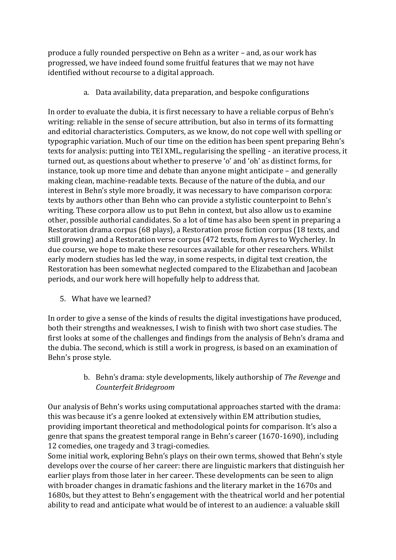produce a fully rounded perspective on Behn as a writer – and, as our work has progressed, we have indeed found some fruitful features that we may not have identified without recourse to a digital approach.

a. Data availability, data preparation, and bespoke configurations

In order to evaluate the dubia, it is first necessary to have a reliable corpus of Behn's writing: reliable in the sense of secure attribution, but also in terms of its formatting and editorial characteristics. Computers, as we know, do not cope well with spelling or typographic variation. Much of our time on the edition has been spent preparing Behn's texts for analysis: putting into TEI XML, regularising the spelling - an iterative process, it turned out, as questions about whether to preserve 'o' and 'oh' as distinct forms, for instance, took up more time and debate than anyone might anticipate – and generally making clean, machine-readable texts. Because of the nature of the dubia, and our interest in Behn's style more broadly, it was necessary to have comparison corpora: texts by authors other than Behn who can provide a stylistic counterpoint to Behn's writing. These corpora allow us to put Behn in context, but also allow us to examine other, possible authorial candidates. So a lot of time has also been spent in preparing a Restoration drama corpus (68 plays), a Restoration prose fiction corpus (18 texts, and still growing) and a Restoration verse corpus (472 texts, from Ayres to Wycherley. In due course, we hope to make these resources available for other researchers. Whilst early modern studies has led the way, in some respects, in digital text creation, the Restoration has been somewhat neglected compared to the Elizabethan and Jacobean periods, and our work here will hopefully help to address that.

5. What have we learned?

In order to give a sense of the kinds of results the digital investigations have produced, both their strengths and weaknesses, I wish to finish with two short case studies. The first looks at some of the challenges and findings from the analysis of Behn's drama and the dubia. The second, which is still a work in progress, is based on an examination of Behn's prose style.

> b. Behn's drama: style developments, likely authorship of *The Revenge* and *Counterfeit Bridegroom*

Our analysis of Behn's works using computational approaches started with the drama: this was because it's a genre looked at extensively within EM attribution studies, providing important theoretical and methodological points for comparison. It's also a genre that spans the greatest temporal range in Behn's career (1670-1690), including 12 comedies, one tragedy and 3 tragi-comedies.

Some initial work, exploring Behn's plays on their own terms, showed that Behn's style develops over the course of her career: there are linguistic markers that distinguish her earlier plays from those later in her career. These developments can be seen to align with broader changes in dramatic fashions and the literary market in the 1670s and 1680s, but they attest to Behn's engagement with the theatrical world and her potential ability to read and anticipate what would be of interest to an audience: a valuable skill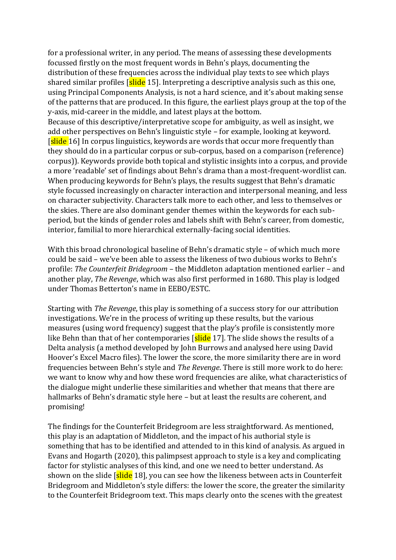for a professional writer, in any period. The means of assessing these developments focussed firstly on the most frequent words in Behn's plays, documenting the distribution of these frequencies across the individual play texts to see which plays shared similar profiles [slide 15]. Interpreting a descriptive analysis such as this one, using Principal Components Analysis, is not a hard science, and it's about making sense of the patterns that are produced. In this figure, the earliest plays group at the top of the y-axis, mid-career in the middle, and latest plays at the bottom.

Because of this descriptive/interpretative scope for ambiguity, as well as insight, we add other perspectives on Behn's linguistic style – for example, looking at keyword. [slide 16] In corpus linguistics, keywords are words that occur more frequently than they should do in a particular corpus or sub-corpus, based on a comparison (reference) corpus)). Keywords provide both topical and stylistic insights into a corpus, and provide a more 'readable' set of findings about Behn's drama than a most-frequent-wordlist can. When producing keywords for Behn's plays, the results suggest that Behn's dramatic style focussed increasingly on character interaction and interpersonal meaning, and less on character subjectivity. Characters talk more to each other, and less to themselves or the skies. There are also dominant gender themes within the keywords for each subperiod, but the kinds of gender roles and labels shift with Behn's career, from domestic, interior, familial to more hierarchical externally-facing social identities.

With this broad chronological baseline of Behn's dramatic style – of which much more could be said – we've been able to assess the likeness of two dubious works to Behn's profile: *The Counterfeit Bridegroom* – the Middleton adaptation mentioned earlier – and another play, *The Revenge*, which was also first performed in 1680. This play is lodged under Thomas Betterton's name in EEBO/ESTC.

Starting with *The Revenge*, this play is something of a success story for our attribution investigations. We're in the process of writing up these results, but the various measures (using word frequency) suggest that the play's profile is consistently more like Behn than that of her contemporaries  $\left[\frac{\text{slide}}{17}\right]$ . The slide shows the results of a Delta analysis (a method developed by John Burrows and analysed here using David Hoover's Excel Macro files). The lower the score, the more similarity there are in word frequencies between Behn's style and *The Revenge*. There is still more work to do here: we want to know why and how these word frequencies are alike, what characteristics of the dialogue might underlie these similarities and whether that means that there are hallmarks of Behn's dramatic style here – but at least the results are coherent, and promising!

The findings for the Counterfeit Bridegroom are less straightforward. As mentioned, this play is an adaptation of Middleton, and the impact of his authorial style is something that has to be identified and attended to in this kind of analysis. As argued in Evans and Hogarth (2020), this palimpsest approach to style is a key and complicating factor for stylistic analyses of this kind, and one we need to better understand. As shown on the slide [slide 18], you can see how the likeness between acts in Counterfeit Bridegroom and Middleton's style differs: the lower the score, the greater the similarity to the Counterfeit Bridegroom text. This maps clearly onto the scenes with the greatest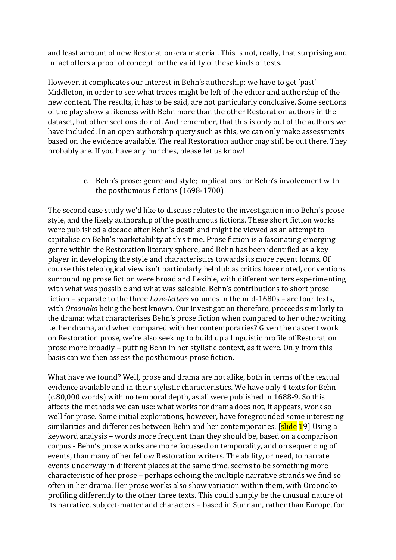and least amount of new Restoration-era material. This is not, really, that surprising and in fact offers a proof of concept for the validity of these kinds of tests.

However, it complicates our interest in Behn's authorship: we have to get 'past' Middleton, in order to see what traces might be left of the editor and authorship of the new content. The results, it has to be said, are not particularly conclusive. Some sections of the play show a likeness with Behn more than the other Restoration authors in the dataset, but other sections do not. And remember, that this is only out of the authors we have included. In an open authorship query such as this, we can only make assessments based on the evidence available. The real Restoration author may still be out there. They probably are. If you have any hunches, please let us know!

> c. Behn's prose: genre and style; implications for Behn's involvement with the posthumous fictions (1698-1700)

The second case study we'd like to discuss relates to the investigation into Behn's prose style, and the likely authorship of the posthumous fictions. These short fiction works were published a decade after Behn's death and might be viewed as an attempt to capitalise on Behn's marketability at this time. Prose fiction is a fascinating emerging genre within the Restoration literary sphere, and Behn has been identified as a key player in developing the style and characteristics towards its more recent forms. Of course this teleological view isn't particularly helpful: as critics have noted, conventions surrounding prose fiction were broad and flexible, with different writers experimenting with what was possible and what was saleable. Behn's contributions to short prose fiction – separate to the three *Love-letters* volumes in the mid-1680s – are four texts, with *Oroonoko* being the best known. Our investigation therefore, proceeds similarly to the drama: what characterises Behn's prose fiction when compared to her other writing i.e. her drama, and when compared with her contemporaries? Given the nascent work on Restoration prose, we're also seeking to build up a linguistic profile of Restoration prose more broadly – putting Behn in her stylistic context, as it were. Only from this basis can we then assess the posthumous prose fiction.

What have we found? Well, prose and drama are not alike, both in terms of the textual evidence available and in their stylistic characteristics. We have only 4 texts for Behn (c.80,000 words) with no temporal depth, as all were published in 1688-9. So this affects the methods we can use: what works for drama does not, it appears, work so well for prose. Some initial explorations, however, have foregrounded some interesting similarities and differences between Behn and her contemporaries. [slide 19] Using a keyword analysis – words more frequent than they should be, based on a comparison corpus - Behn's prose works are more focussed on temporality, and on sequencing of events, than many of her fellow Restoration writers. The ability, or need, to narrate events underway in different places at the same time, seems to be something more characteristic of her prose – perhaps echoing the multiple narrative strands we find so often in her drama. Her prose works also show variation within them, with Oroonoko profiling differently to the other three texts. This could simply be the unusual nature of its narrative, subject-matter and characters – based in Surinam, rather than Europe, for